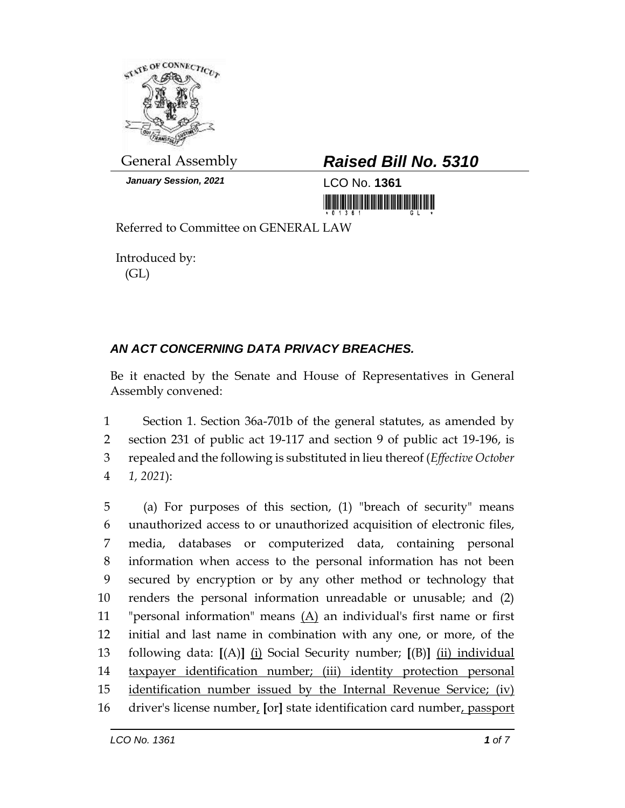

*January Session, 2021* LCO No. **1361**

## General Assembly *Raised Bill No. 5310*

<u> III Martin Martin Martin Martin Martin Martin Martin Martin Martin Martin Martin Martin Martin Martin Martin </u>

Referred to Committee on GENERAL LAW

Introduced by: (GL)

## *AN ACT CONCERNING DATA PRIVACY BREACHES.*

Be it enacted by the Senate and House of Representatives in General Assembly convened:

 Section 1. Section 36a-701b of the general statutes, as amended by section 231 of public act 19-117 and section 9 of public act 19-196, is repealed and the following is substituted in lieu thereof (*Effective October 1, 2021*):

 (a) For purposes of this section, (1) "breach of security" means unauthorized access to or unauthorized acquisition of electronic files, media, databases or computerized data, containing personal information when access to the personal information has not been secured by encryption or by any other method or technology that renders the personal information unreadable or unusable; and (2) 11 "personal information" means  $(A)$  an individual's first name or first initial and last name in combination with any one, or more, of the following data: **[**(A)**]** (i) Social Security number; **[**(B)**]** (ii) individual taxpayer identification number; (iii) identity protection personal 15 identification number issued by the Internal Revenue Service; (iv) driver's license number, **[**or**]** state identification card number, passport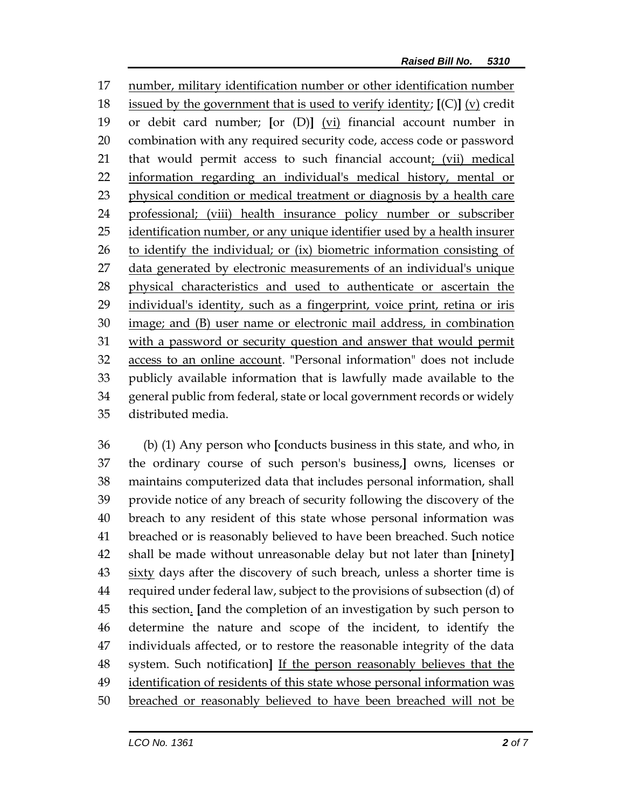number, military identification number or other identification number issued by the government that is used to verify identity; **[**(C)**]** (v) credit or debit card number; **[**or (D)**]** (vi) financial account number in combination with any required security code, access code or password that would permit access to such financial account; (vii) medical information regarding an individual's medical history, mental or physical condition or medical treatment or diagnosis by a health care professional; (viii) health insurance policy number or subscriber identification number, or any unique identifier used by a health insurer 26 to identify the individual; or (ix) biometric information consisting of 27 data generated by electronic measurements of an individual's unique physical characteristics and used to authenticate or ascertain the individual's identity, such as a fingerprint, voice print, retina or iris image; and (B) user name or electronic mail address, in combination with a password or security question and answer that would permit access to an online account. "Personal information" does not include publicly available information that is lawfully made available to the general public from federal, state or local government records or widely distributed media.

 (b) (1) Any person who **[**conducts business in this state, and who, in the ordinary course of such person's business,**]** owns, licenses or maintains computerized data that includes personal information, shall provide notice of any breach of security following the discovery of the breach to any resident of this state whose personal information was breached or is reasonably believed to have been breached. Such notice shall be made without unreasonable delay but not later than **[**ninety**]** sixty days after the discovery of such breach, unless a shorter time is required under federal law, subject to the provisions of subsection (d) of this section. **[**and the completion of an investigation by such person to determine the nature and scope of the incident, to identify the individuals affected, or to restore the reasonable integrity of the data system. Such notification**]** If the person reasonably believes that the identification of residents of this state whose personal information was 50 breached or reasonably believed to have been breached will not be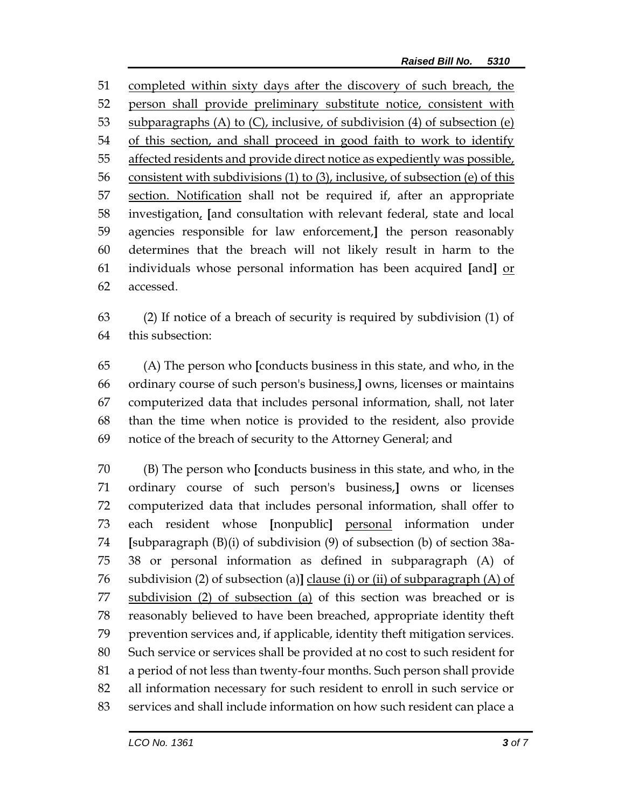completed within sixty days after the discovery of such breach, the person shall provide preliminary substitute notice, consistent with 53 subparagraphs (A) to  $(C)$ , inclusive, of subdivision (4) of subsection (e) of this section, and shall proceed in good faith to work to identify affected residents and provide direct notice as expediently was possible, consistent with subdivisions (1) to (3), inclusive, of subsection (e) of this section. Notification shall not be required if, after an appropriate investigation, **[**and consultation with relevant federal, state and local agencies responsible for law enforcement,**]** the person reasonably determines that the breach will not likely result in harm to the individuals whose personal information has been acquired **[**and**]** or accessed.

 (2) If notice of a breach of security is required by subdivision (1) of this subsection:

 (A) The person who **[**conducts business in this state, and who, in the ordinary course of such person's business,**]** owns, licenses or maintains computerized data that includes personal information, shall, not later than the time when notice is provided to the resident, also provide notice of the breach of security to the Attorney General; and

 (B) The person who **[**conducts business in this state, and who, in the ordinary course of such person's business,**]** owns or licenses computerized data that includes personal information, shall offer to each resident whose **[**nonpublic**]** personal information under **[**subparagraph (B)(i) of subdivision (9) of subsection (b) of section 38a- 38 or personal information as defined in subparagraph (A) of subdivision (2) of subsection (a)**]** clause (i) or (ii) of subparagraph (A) of subdivision (2) of subsection (a) of this section was breached or is reasonably believed to have been breached, appropriate identity theft prevention services and, if applicable, identity theft mitigation services. Such service or services shall be provided at no cost to such resident for a period of not less than twenty-four months. Such person shall provide all information necessary for such resident to enroll in such service or services and shall include information on how such resident can place a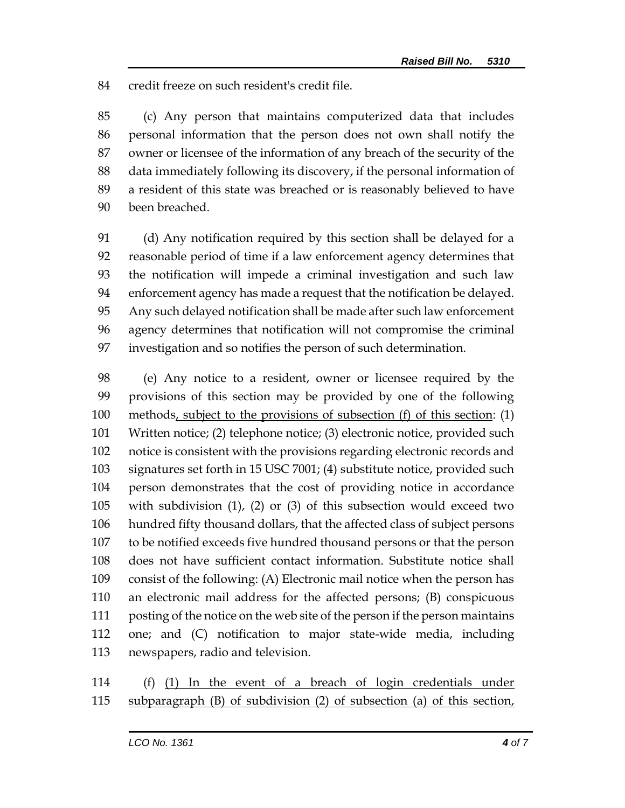credit freeze on such resident's credit file.

 (c) Any person that maintains computerized data that includes personal information that the person does not own shall notify the owner or licensee of the information of any breach of the security of the data immediately following its discovery, if the personal information of a resident of this state was breached or is reasonably believed to have been breached.

 (d) Any notification required by this section shall be delayed for a reasonable period of time if a law enforcement agency determines that the notification will impede a criminal investigation and such law enforcement agency has made a request that the notification be delayed. Any such delayed notification shall be made after such law enforcement agency determines that notification will not compromise the criminal investigation and so notifies the person of such determination.

 (e) Any notice to a resident, owner or licensee required by the provisions of this section may be provided by one of the following methods, subject to the provisions of subsection (f) of this section: (1) Written notice; (2) telephone notice; (3) electronic notice, provided such notice is consistent with the provisions regarding electronic records and signatures set forth in 15 USC 7001; (4) substitute notice, provided such person demonstrates that the cost of providing notice in accordance with subdivision (1), (2) or (3) of this subsection would exceed two hundred fifty thousand dollars, that the affected class of subject persons to be notified exceeds five hundred thousand persons or that the person does not have sufficient contact information. Substitute notice shall consist of the following: (A) Electronic mail notice when the person has an electronic mail address for the affected persons; (B) conspicuous posting of the notice on the web site of the person if the person maintains one; and (C) notification to major state-wide media, including newspapers, radio and television.

 (f) (1) In the event of a breach of login credentials under subparagraph (B) of subdivision (2) of subsection (a) of this section,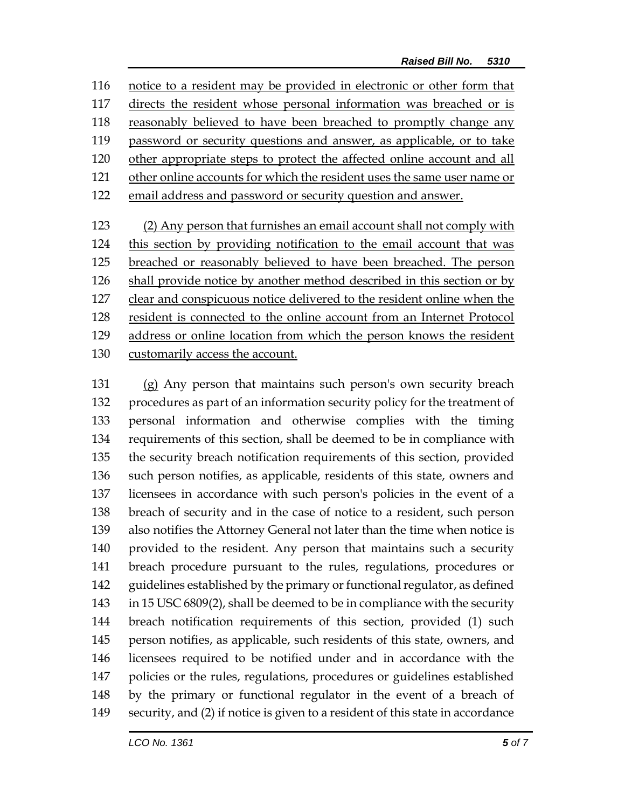notice to a resident may be provided in electronic or other form that directs the resident whose personal information was breached or is reasonably believed to have been breached to promptly change any password or security questions and answer, as applicable, or to take other appropriate steps to protect the affected online account and all other online accounts for which the resident uses the same user name or email address and password or security question and answer. (2) Any person that furnishes an email account shall not comply with

 this section by providing notification to the email account that was breached or reasonably believed to have been breached. The person shall provide notice by another method described in this section or by clear and conspicuous notice delivered to the resident online when the resident is connected to the online account from an Internet Protocol address or online location from which the person knows the resident customarily access the account.

 (g) Any person that maintains such person's own security breach procedures as part of an information security policy for the treatment of personal information and otherwise complies with the timing requirements of this section, shall be deemed to be in compliance with the security breach notification requirements of this section, provided such person notifies, as applicable, residents of this state, owners and licensees in accordance with such person's policies in the event of a breach of security and in the case of notice to a resident, such person also notifies the Attorney General not later than the time when notice is provided to the resident. Any person that maintains such a security breach procedure pursuant to the rules, regulations, procedures or guidelines established by the primary or functional regulator, as defined 143 in 15 USC 6809(2), shall be deemed to be in compliance with the security breach notification requirements of this section, provided (1) such person notifies, as applicable, such residents of this state, owners, and licensees required to be notified under and in accordance with the policies or the rules, regulations, procedures or guidelines established by the primary or functional regulator in the event of a breach of security, and (2) if notice is given to a resident of this state in accordance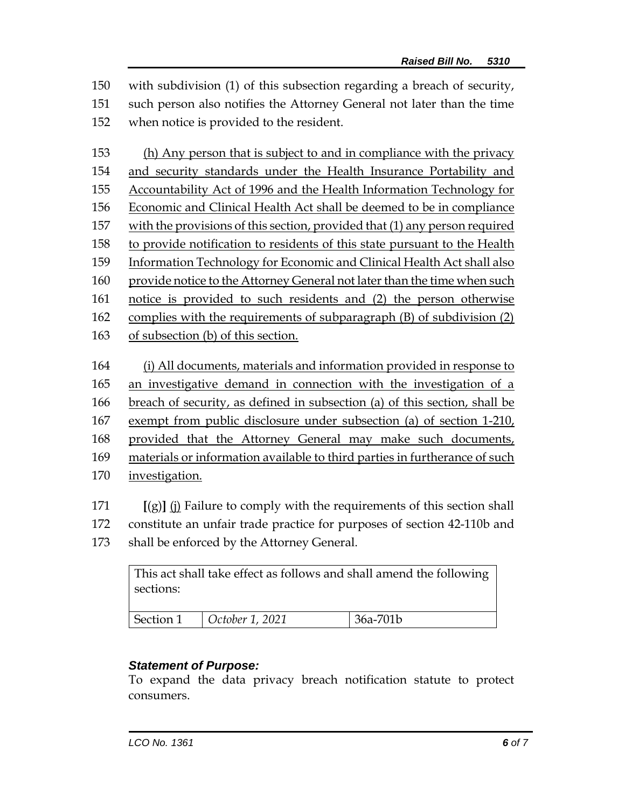with subdivision (1) of this subsection regarding a breach of security, such person also notifies the Attorney General not later than the time when notice is provided to the resident.

 (h) Any person that is subject to and in compliance with the privacy and security standards under the Health Insurance Portability and Accountability Act of 1996 and the Health Information Technology for Economic and Clinical Health Act shall be deemed to be in compliance with the provisions of this section, provided that (1) any person required to provide notification to residents of this state pursuant to the Health Information Technology for Economic and Clinical Health Act shall also 160 provide notice to the Attorney General not later than the time when such notice is provided to such residents and (2) the person otherwise complies with the requirements of subparagraph (B) of subdivision (2)

of subsection (b) of this section.

 (i) All documents, materials and information provided in response to an investigative demand in connection with the investigation of a breach of security, as defined in subsection (a) of this section, shall be exempt from public disclosure under subsection (a) of section 1-210, provided that the Attorney General may make such documents,

- materials or information available to third parties in furtherance of such
- investigation.

 **[**(g)**]** (j) Failure to comply with the requirements of this section shall constitute an unfair trade practice for purposes of section 42-110b and shall be enforced by the Attorney General.

This act shall take effect as follows and shall amend the following sections:

|--|

## *Statement of Purpose:*

To expand the data privacy breach notification statute to protect consumers.